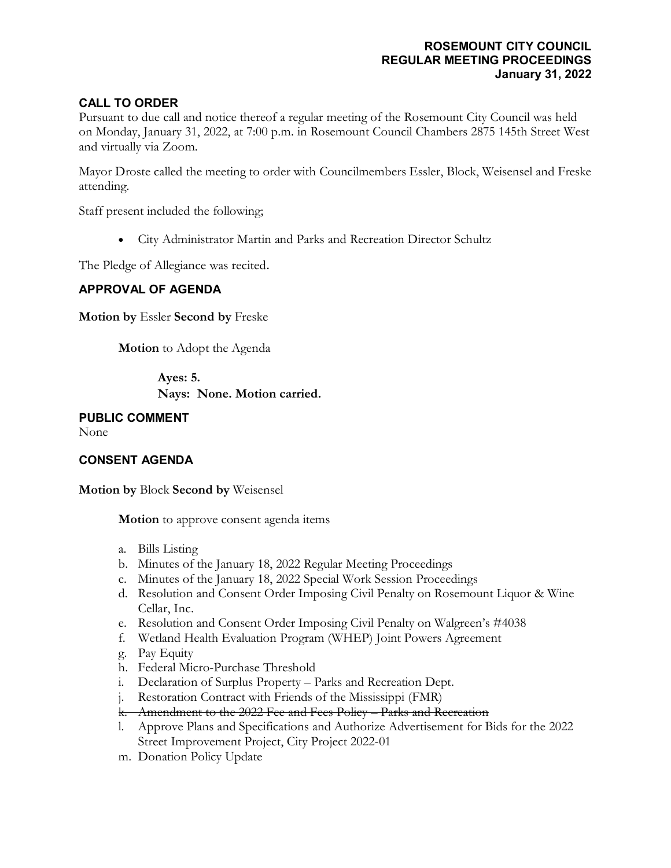## **ROSEMOUNT CITY COUNCIL REGULAR MEETING PROCEEDINGS January 31, 2022**

# **CALL TO ORDER**

Pursuant to due call and notice thereof a regular meeting of the Rosemount City Council was held on Monday, January 31, 2022, at 7:00 p.m. in Rosemount Council Chambers 2875 145th Street West and virtually via Zoom.

Mayor Droste called the meeting to order with Councilmembers Essler, Block, Weisensel and Freske attending.

Staff present included the following;

• City Administrator Martin and Parks and Recreation Director Schultz

The Pledge of Allegiance was recited.

## **APPROVAL OF AGENDA**

**Motion by** Essler **Second by** Freske

**Motion** to Adopt the Agenda

**Ayes: 5. Nays: None. Motion carried.**

**PUBLIC COMMENT** None

## **CONSENT AGENDA**

**Motion by** Block **Second by** Weisensel

**Motion** to approve consent agenda items

- a. Bills Listing
- b. Minutes of the January 18, 2022 Regular Meeting Proceedings
- c. Minutes of the January 18, 2022 Special Work Session Proceedings
- d. Resolution and Consent Order Imposing Civil Penalty on Rosemount Liquor & Wine Cellar, Inc.
- e. Resolution and Consent Order Imposing Civil Penalty on Walgreen's #4038
- f. Wetland Health Evaluation Program (WHEP) Joint Powers Agreement
- g. Pay Equity
- h. Federal Micro-Purchase Threshold
- i. Declaration of Surplus Property Parks and Recreation Dept.
- j. Restoration Contract with Friends of the Mississippi (FMR)
- k. Amendment to the 2022 Fee and Fees Policy Parks and Recreation
- l. Approve Plans and Specifications and Authorize Advertisement for Bids for the 2022 Street Improvement Project, City Project 2022-01
- m. Donation Policy Update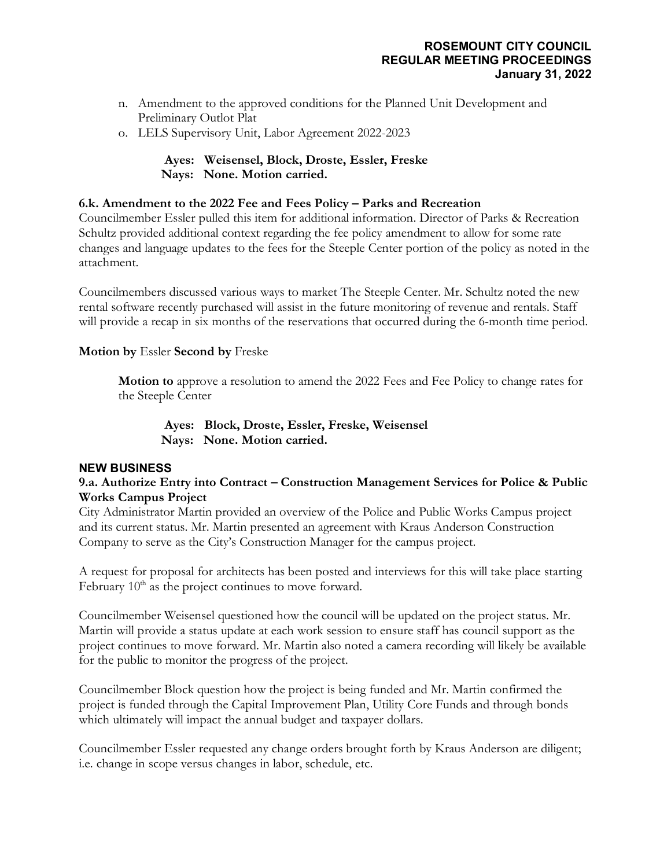## **ROSEMOUNT CITY COUNCIL REGULAR MEETING PROCEEDINGS January 31, 2022**

- n. Amendment to the approved conditions for the Planned Unit Development and Preliminary Outlot Plat
- o. LELS Supervisory Unit, Labor Agreement 2022-2023

# **Ayes: Weisensel, Block, Droste, Essler, Freske Nays: None. Motion carried.**

## **6.k. Amendment to the 2022 Fee and Fees Policy – Parks and Recreation**

Councilmember Essler pulled this item for additional information. Director of Parks & Recreation Schultz provided additional context regarding the fee policy amendment to allow for some rate changes and language updates to the fees for the Steeple Center portion of the policy as noted in the attachment.

Councilmembers discussed various ways to market The Steeple Center. Mr. Schultz noted the new rental software recently purchased will assist in the future monitoring of revenue and rentals. Staff will provide a recap in six months of the reservations that occurred during the 6-month time period.

## **Motion by** Essler **Second by** Freske

**Motion to** approve a resolution to amend the 2022 Fees and Fee Policy to change rates for the Steeple Center

**Ayes: Block, Droste, Essler, Freske, Weisensel Nays: None. Motion carried.**

#### **NEW BUSINESS**

## **9.a. Authorize Entry into Contract – Construction Management Services for Police & Public Works Campus Project**

City Administrator Martin provided an overview of the Police and Public Works Campus project and its current status. Mr. Martin presented an agreement with Kraus Anderson Construction Company to serve as the City's Construction Manager for the campus project.

A request for proposal for architects has been posted and interviews for this will take place starting February  $10<sup>th</sup>$  as the project continues to move forward.

Councilmember Weisensel questioned how the council will be updated on the project status. Mr. Martin will provide a status update at each work session to ensure staff has council support as the project continues to move forward. Mr. Martin also noted a camera recording will likely be available for the public to monitor the progress of the project.

Councilmember Block question how the project is being funded and Mr. Martin confirmed the project is funded through the Capital Improvement Plan, Utility Core Funds and through bonds which ultimately will impact the annual budget and taxpayer dollars.

Councilmember Essler requested any change orders brought forth by Kraus Anderson are diligent; i.e. change in scope versus changes in labor, schedule, etc.